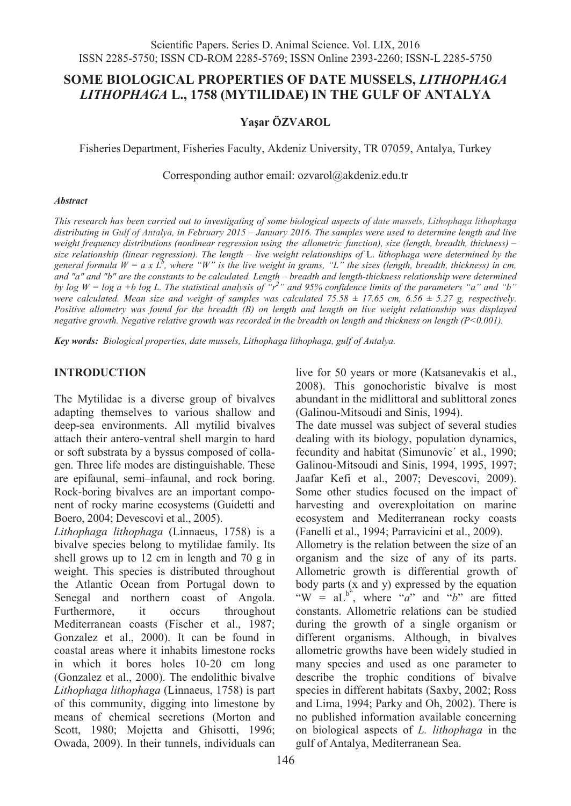# **SOME BIOLOGICAL PROPERTIES OF DATE MUSSELS,** *LITHOPHAGA LITHOPHAGA* **L., 1758 (MYTILIDAE) IN THE GULF OF ANTALYA**

### **Yaşar ÖZVAROL**

Fisheries Department, Fisheries Faculty, Akdeniz University, TR 07059, Antalya, Turkey

Corresponding author email: ozvarol@akdeniz.edu.tr

#### *Abstract*

*This research has been carried out to investigating of some biological aspects of date mussels, Lithophaga lithophaga distributing in Gulf of Antalya, in February 2015 – January 2016. The samples were used to determine length and live weight frequency distributions (nonlinear regression using the allometric function), size (length, breadth, thickness) – size relationship (linear regression). The length – live weight relationships of* L. *lithophaga were determined by the*  general formula  $W = a \times L^b$ , where "W" is the live weight in grams, "L" the sizes (length, breadth, thickness) in cm, *and "a" and "b" are the constants to be calculated. Length – breadth and length-thickness relationship were determined by log W = log a +b log L. The statistical analysis of "r<sup>2</sup>" and 95% confidence limits of the parameters "a" and "b" were calculated. Mean size and weight of samples was calculated 75.58 ± 17.65 cm, 6.56 ± 5.27 g, respectively. Positive allometry was found for the breadth (B) on length and length on live weight relationship was displayed negative growth. Negative relative growth was recorded in the breadth on length and thickness on length (P<0.001).*

*Key words: Biological properties, date mussels, Lithophaga lithophaga, gulf of Antalya.*

### **INTRODUCTION**

The Mytilidae is a diverse group of bivalves adapting themselves to various shallow and deep-sea environments. All mytilid bivalves attach their antero-ventral shell margin to hard or soft substrata by a byssus composed of collagen. Three life modes are distinguishable. These are epifaunal, semi–infaunal, and rock boring. Rock-boring bivalves are an important component of rocky marine ecosystems (Guidetti and Boero, 2004; Devescovi et al., 2005).

*Lithophaga lithophaga* (Linnaeus, 1758) is a bivalve species belong to mytilidae family. Its shell grows up to 12 cm in length and 70 g in weight. This species is distributed throughout the Atlantic Ocean from Portugal down to Senegal and northern coast of Angola. Furthermore, it occurs throughout Mediterranean coasts (Fischer et al., 1987; Gonzalez et al., 2000). It can be found in coastal areas where it inhabits limestone rocks in which it bores holes 10-20 cm long (Gonzalez et al., 2000). The endolithic bivalve *Lithophaga lithophaga* (Linnaeus, 1758) is part of this community, digging into limestone by means of chemical secretions (Morton and Scott, 1980; Mojetta and Ghisotti, 1996; Owada, 2009). In their tunnels, individuals can

live for 50 years or more (Katsanevakis et al., 2008). This gonochoristic bivalve is most abundant in the midlittoral and sublittoral zones (Galinou-Mitsoudi and Sinis, 1994).

The date mussel was subject of several studies dealing with its biology, population dynamics, fecundity and habitat (Simunovic´ et al., 1990; Galinou-Mitsoudi and Sinis, 1994, 1995, 1997; Jaafar Kefi et al., 2007; Devescovi, 2009). Some other studies focused on the impact of harvesting and overexploitation on marine ecosystem and Mediterranean rocky coasts (Fanelli et al., 1994; Parravicini et al., 2009).

Allometry is the relation between the size of an organism and the size of any of its parts. Allometric growth is differential growth of body parts (x and y) expressed by the equation "W =  $aL^{b}$ ", where "*a*" and "*b*" are fitted constants. Allometric relations can be studied during the growth of a single organism or different organisms. Although, in bivalves allometric growths have been widely studied in many species and used as one parameter to describe the trophic conditions of bivalve species in different habitats (Saxby, 2002; Ross and Lima, 1994; Parky and Oh, 2002). There is no published information available concerning on biological aspects of *L. lithophaga* in the gulf of Antalya, Mediterranean Sea.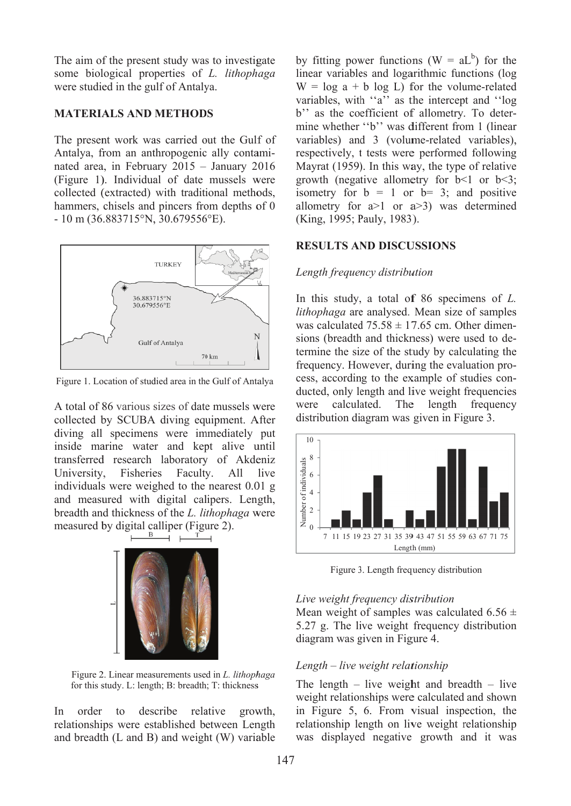The aim of the present study was to investigate some biol logical prop perties of *L. lithoph aga* were studied in the gulf of Antalya.

### **MATERIALS AND METHODS**

The present work was carried out the Gulf of Antalya, from an anthropogenic ally contaminated area, in February 2015 – January 2016 (Figure 1) ). Individua al of date mussels w were collected (extracted) with traditional methods, hammers, chisels and pincers from depths of 0 - 10 m (36 .883715°N, , 30.679556 6°E).



Figure 1. Location of studied area in the Gulf of Antalya

A total of 86 various sizes of date mussels were collected by SCUBA diving equipment. After diving all specimens were immediately put inside marine water and kept alive until transferred research laboratory of Akdeniz University. individuals were weighed to the nearest 0.01 g and measured with digital calipers. Length, breadth an d thickness of the *L. li thophaga* w were measured by digital calliper (Figure 2). **Fisheries** Faculty. All live



Figure 2 2. Linear meas surements use d in *L. lithoph haga*  for this study. L: length; B: breadth; T: thickness

In order relationships were established between Length and breadth (L and B) and weight (W) variable to des cribe rela ative growth, by fitting power functions ( $W = aL^b$ ) for the linear variables and logarithmic functions (log  $W = \log a + b \log L$  for the volume-related variables, with "a" as the intercept and "log b'' as the coefficient of allometry. To determine whether "b" was different from 1 (linear variables) and 3 (volume-related variables), respectively, t tests were performed following Mayrat (1959). In this way, the type of relative growth (negative allometry for  $b < 1$  or  $b < 3$ ; isometry for  $b = 1$  or  $b = 3$ ; and positive allometry for  $a>1$  or  $a>3$ ) was determined (King, 1995; Pauly, 1983). egd<br>gr, ge;eds-<br>, ge;eds-<br>, ge;eds-

## **RE ESULTS AN ND DISCU USSIONS**

### Length frequency distribution

In this study, a total of 86 specimens of *L*. lithophaga are analysed. Mean size of samples was calculated  $75.58 \pm 17.65$  cm. Other dimensions (breadth and thickness) were used to determine the size of the study by calculating the termine the size of the study by calculating the frequency. However, during the evaluation process, according to the example of studies conducted, only length and live weight frequencies were distribution diagram was given in Figure 3. re calculated. The The length frequency



Figure 3. Length frequency distribution

#### Live weight frequency distribution

Mean weight of samples was calculated 6.56  $\pm$ 5.2 27 g. The li ive weight frequency distribution diagram was given in Figure 4.

#### Length – live weight relationship

The length  $-$  live weight and breadth  $-$  live weight relationships were calculated and shown in Figure 5, 6. From visual inspection, the relationship length on live weight relationship wa s displayed d negative growth a and it was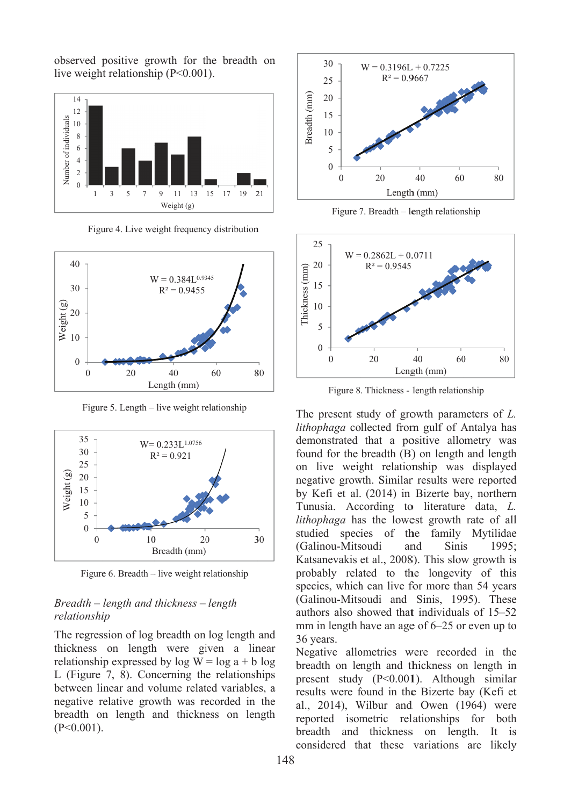observed positive growth for the breadth on live weight relationship  $(P<0.001)$ .



Figure 4. Live weight frequency distribution



Figure 5. Length – live weight relationship



Figure 6. Breadth – live weight relationship

### Breadth – length and thickness – length relationship

The regression of log breadth on log length and thickness on length were given a linear relationship expressed by  $log W = log a + b log$ L (Figure 7, 8). Concerning the relationships between linear and volume related variables, a negative relative growth was recorded in the breadth on length and thickness on length  $(P<0.001)$ .



Figure 7. Breadth – length relationship



Figure 8. Thickness - length relationship

The present study of growth parameters of  $L$ . lithophaga collected from gulf of Antalya has demonstrated that a positive allometry was found for the breadth (B) on length and length on live weight relationship was displayed negative growth. Similar results were reported by Kefi et al. (2014) in Bizerte bay, northern Tunusia. According to literature data, L. lithophaga has the lowest growth rate of all studied species of the family Mytilidae (Galinou-Mitsoudi and **Sinis** 1995: Katsanevakis et al., 2008). This slow growth is probably related to the longevity of this species, which can live for more than 54 years (Galinou-Mitsoudi and Sinis, 1995). These authors also showed that individuals of 15–52 mm in length have an age of 6–25 or even up to 36 vears.

Negative allometries were recorded in the breadth on length and thickness on length in present study  $(P<0.001)$ . Although similar results were found in the Bizerte bay (Kefi et al., 2014), Wilbur and Owen (1964) were reported isometric relationships for both breadth and thickness on length. It is considered that these variations are likely